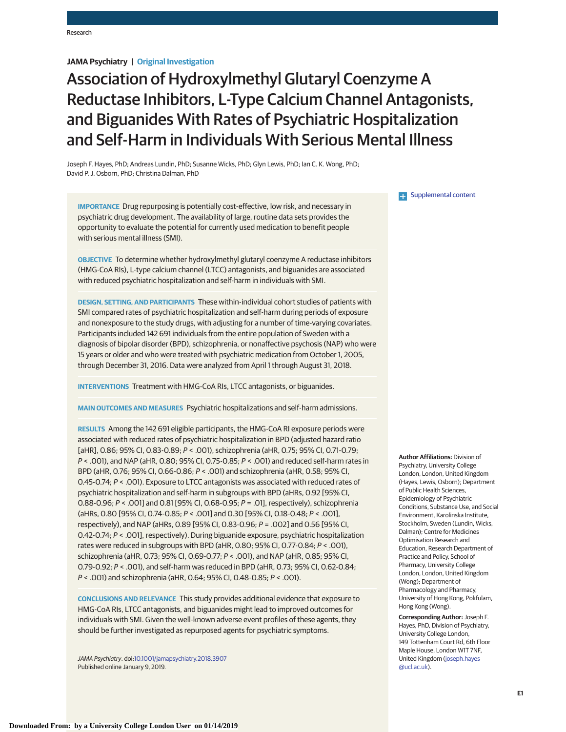# **JAMA Psychiatry | Original Investigation**

# Association of Hydroxylmethyl Glutaryl Coenzyme A Reductase Inhibitors, L-Type Calcium Channel Antagonists, and Biguanides With Rates of Psychiatric Hospitalization and Self-Harm in Individuals With Serious Mental Illness

Joseph F. Hayes, PhD; Andreas Lundin, PhD; Susanne Wicks, PhD; Glyn Lewis, PhD; Ian C. K. Wong, PhD; David P. J. Osborn, PhD; Christina Dalman, PhD

**IMPORTANCE** Drug repurposing is potentially cost-effective, low risk, and necessary in psychiatric drug development. The availability of large, routine data sets provides the opportunity to evaluate the potential for currently used medication to benefit people with serious mental illness (SMI).

**OBJECTIVE** To determine whether hydroxylmethyl glutaryl coenzyme A reductase inhibitors (HMG-CoA RIs), L-type calcium channel (LTCC) antagonists, and biguanides are associated with reduced psychiatric hospitalization and self-harm in individuals with SMI.

**DESIGN, SETTING, AND PARTICIPANTS** These within-individual cohort studies of patients with SMI compared rates of psychiatric hospitalization and self-harm during periods of exposure and nonexposure to the study drugs, with adjusting for a number of time-varying covariates. Participants included 142 691 individuals from the entire population of Sweden with a diagnosis of bipolar disorder (BPD), schizophrenia, or nonaffective psychosis (NAP) who were 15 years or older and who were treated with psychiatric medication from October 1, 2005, through December 31, 2016. Data were analyzed from April 1 through August 31, 2018.

**INTERVENTIONS** Treatment with HMG-CoA RIs, LTCC antagonists, or biguanides.

**MAIN OUTCOMES AND MEASURES** Psychiatric hospitalizations and self-harm admissions.

**RESULTS** Among the 142 691 eligible participants, the HMG-CoA RI exposure periods were associated with reduced rates of psychiatric hospitalization in BPD (adjusted hazard ratio [aHR], 0.86; 95% CI, 0.83-0.89; P < .001), schizophrenia (aHR, 0.75; 95% CI, 0.71-0.79; P < .001), and NAP (aHR, 0.80; 95% CI, 0.75-0.85; P < .001) and reduced self-harm rates in BPD (aHR, 0.76; 95% CI, 0.66-0.86; P < .001) and schizophrenia (aHR, 0.58; 95% CI, 0.45-0.74; P < .001). Exposure to LTCC antagonists was associated with reduced rates of psychiatric hospitalization and self-harm in subgroups with BPD (aHRs, 0.92 [95% CI, 0.88-0.96; P < .001] and 0.81 [95% CI, 0.68-0.95; P = .01], respectively), schizophrenia (aHRs, 0.80 [95% CI, 0.74-0.85; P < .001] and 0.30 [95% CI, 0.18-0.48; P < .001], respectively), and NAP (aHRs, 0.89 [95% CI, 0.83-0.96; P = .002] and 0.56 [95% CI, 0.42-0.74; P < .001], respectively). During biguanide exposure, psychiatric hospitalization rates were reduced in subgroups with BPD (aHR, 0.80; 95% CI, 0.77-0.84; P < .001), schizophrenia (aHR, 0.73; 95% CI, 0.69-0.77; P < .001), and NAP (aHR, 0.85; 95% CI, 0.79-0.92; P < .001), and self-harm was reduced in BPD (aHR, 0.73; 95% CI, 0.62-0.84; P < .001) and schizophrenia (aHR, 0.64; 95% CI, 0.48-0.85; P < .001).

**CONCLUSIONS AND RELEVANCE** This study provides additional evidence that exposure to HMG-CoA RIs, LTCC antagonists, and biguanides might lead to improved outcomes for individuals with SMI. Given the well-known adverse event profiles of these agents, they should be further investigated as repurposed agents for psychiatric symptoms.

JAMA Psychiatry. doi[:10.1001/jamapsychiatry.2018.3907](https://jama.jamanetwork.com/article.aspx?doi=10.1001/jamapsychiatry.2018.3907&utm_campaign=articlePDF%26utm_medium=articlePDFlink%26utm_source=articlePDF%26utm_content=jamapsychiatry.2018.3907) Published online January 9, 2019.

**Examplemental content** 

**Author Affiliations:** Division of Psychiatry, University College London, London, United Kingdom (Hayes, Lewis, Osborn); Department of Public Health Sciences, Epidemiology of Psychiatric Conditions, Substance Use, and Social Environment, Karolinska Institute, Stockholm, Sweden (Lundin, Wicks, Dalman); Centre for Medicines Optimisation Research and Education, Research Department of Practice and Policy, School of Pharmacy, University College London, London, United Kingdom (Wong); Department of Pharmacology and Pharmacy, University of Hong Kong, Pokfulam, Hong Kong (Wong).

**Corresponding Author:** Joseph F. Hayes, PhD, Division of Psychiatry, University College London, 149 Tottenham Court Rd, 6th Floor Maple House, London W1T 7NF, United Kingdom [\(joseph.hayes](mailto:joseph.hayes@ucl.ac.uk) [@ucl.ac.uk\)](mailto:joseph.hayes@ucl.ac.uk).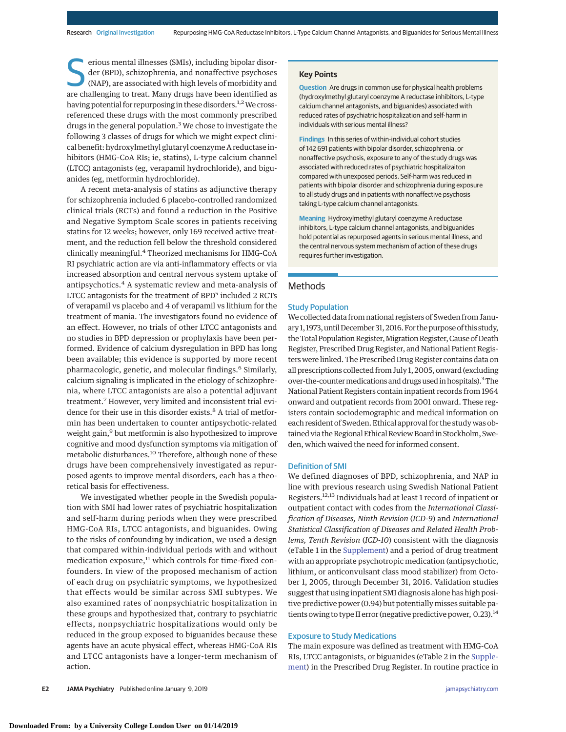Friday erious mental illnesses (SMIs), including bipolar disor-<br>
der (BPD), schizophrenia, and nonaffective psychoses<br>
(NAP), are associated with high levels of morbidity and<br>
are challenging to treat. Many drugs have been der (BPD), schizophrenia, and nonaffective psychoses are challenging to treat. Many drugs have been identified as having potential for repurposing in these disorders.<sup>1,2</sup> We crossreferenced these drugs with the most commonly prescribed drugs in the general population.<sup>3</sup> We chose to investigate the following 3 classes of drugs for which we might expect clinical benefit: hydroxylmethyl glutaryl coenzyme A reductase inhibitors (HMG-CoA RIs; ie, statins), L-type calcium channel (LTCC) antagonists (eg, verapamil hydrochloride), and biguanides (eg, metformin hydrochloride).

A recent meta-analysis of statins as adjunctive therapy for schizophrenia included 6 placebo-controlled randomized clinical trials (RCTs) and found a reduction in the Positive and Negative Symptom Scale scores in patients receiving statins for 12 weeks; however, only 169 received active treatment, and the reduction fell below the threshold considered clinically meaningful.4 Theorized mechanisms for HMG-CoA RI psychiatric action are via anti-inflammatory effects or via increased absorption and central nervous system uptake of antipsychotics.<sup>4</sup> A systematic review and meta-analysis of LTCC antagonists for the treatment of BPD<sup>5</sup> included 2 RCTs of verapamil vs placebo and 4 of verapamil vs lithium for the treatment of mania. The investigators found no evidence of an effect. However, no trials of other LTCC antagonists and no studies in BPD depression or prophylaxis have been performed. Evidence of calcium dysregulation in BPD has long been available; this evidence is supported by more recent pharmacologic, genetic, and molecular findings.<sup>6</sup> Similarly, calcium signaling is implicated in the etiology of schizophrenia, where LTCC antagonists are also a potential adjuvant treatment.7 However, very limited and inconsistent trial evidence for their use in this disorder exists.<sup>8</sup> A trial of metformin has been undertaken to counter antipsychotic-related weight gain,<sup>9</sup> but metformin is also hypothesized to improve cognitive and mood dysfunction symptoms via mitigation of metabolic disturbances.<sup>10</sup> Therefore, although none of these drugs have been comprehensively investigated as repurposed agents to improve mental disorders, each has a theoretical basis for effectiveness.

We investigated whether people in the Swedish population with SMI had lower rates of psychiatric hospitalization and self-harm during periods when they were prescribed HMG-CoA RIs, LTCC antagonists, and biguanides. Owing to the risks of confounding by indication, we used a design that compared within-individual periods with and without medication exposure,<sup>11</sup> which controls for time-fixed confounders. In view of the proposed mechanism of action of each drug on psychiatric symptoms, we hypothesized that effects would be similar across SMI subtypes. We also examined rates of nonpsychiatric hospitalization in these groups and hypothesized that, contrary to psychiatric effects, nonpsychiatric hospitalizations would only be reduced in the group exposed to biguanides because these agents have an acute physical effect, whereas HMG-CoA RIs and LTCC antagonists have a longer-term mechanism of action.

#### **Key Points**

**Question** Are drugs in common use for physical health problems (hydroxylmethyl glutaryl coenzyme A reductase inhibitors, L-type calcium channel antagonists, and biguanides) associated with reduced rates of psychiatric hospitalization and self-harm in individuals with serious mental illness?

**Findings** In this series of within-individual cohort studies of 142 691 patients with bipolar disorder, schizophrenia, or nonaffective psychosis, exposure to any of the study drugs was associated with reduced rates of psychiatric hospitalizaiton compared with unexposed periods. Self-harm was reduced in patients with bipolar disorder and schizophrenia during exposure to all study drugs and in patients with nonaffective psychosis taking L-type calcium channel antagonists.

**Meaning** Hydroxylmethyl glutaryl coenzyme A reductase inhibitors, L-type calcium channel antagonists, and biguanides hold potential as repurposed agents in serious mental illness, and the central nervous system mechanism of action of these drugs requires further investigation.

#### **Methods**

#### Study Population

We collected data from national registers of Sweden from January 1, 1973, until December 31, 2016. For the purpose of this study, the Total Population Register, Migration Register, Cause of Death Register, Prescribed Drug Register, and National Patient Registers were linked. The Prescribed Drug Register contains data on all prescriptions collected from July 1, 2005, onward (excluding over-the-counter medications and drugs used in hospitals).<sup>3</sup>The National Patient Registers contain inpatient records from 1964 onward and outpatient records from 2001 onward. These registers contain sociodemographic and medical information on each resident of Sweden. Ethical approval for the study was obtained via the Regional Ethical Review Board in Stockholm, Sweden, which waived the need for informed consent.

#### Definition of SMI

We defined diagnoses of BPD, schizophrenia, and NAP in line with previous research using Swedish National Patient Registers.12,13 Individuals had at least 1 record of inpatient or outpatient contact with codes from the *International Classification of Diseases, Ninth Revision* (*ICD-9*) and *International Statistical Classification of Diseases and Related Health Problems, Tenth Revision* (*ICD-10*) consistent with the diagnosis (eTable 1 in the [Supplement\)](https://jama.jamanetwork.com/article.aspx?doi=10.1001/jamapsychiatry.2018.3907&utm_campaign=articlePDF%26utm_medium=articlePDFlink%26utm_source=articlePDF%26utm_content=jamapsychiatry.2018.3907) and a period of drug treatment with an appropriate psychotropic medication (antipsychotic, lithium, or anticonvulsant class mood stabilizer) from October 1, 2005, through December 31, 2016. Validation studies suggest that using inpatient SMI diagnosis alone has high positive predictive power (0.94) but potentially misses suitable patients owing to type II error (negative predictive power, 0.23).<sup>14</sup>

#### Exposure to Study Medications

The main exposure was defined as treatment with HMG-CoA RIs, LTCC antagonists, or biguanides (eTable 2 in the [Supple](https://jama.jamanetwork.com/article.aspx?doi=10.1001/jamapsychiatry.2018.3907&utm_campaign=articlePDF%26utm_medium=articlePDFlink%26utm_source=articlePDF%26utm_content=jamapsychiatry.2018.3907)[ment\)](https://jama.jamanetwork.com/article.aspx?doi=10.1001/jamapsychiatry.2018.3907&utm_campaign=articlePDF%26utm_medium=articlePDFlink%26utm_source=articlePDF%26utm_content=jamapsychiatry.2018.3907) in the Prescribed Drug Register. In routine practice in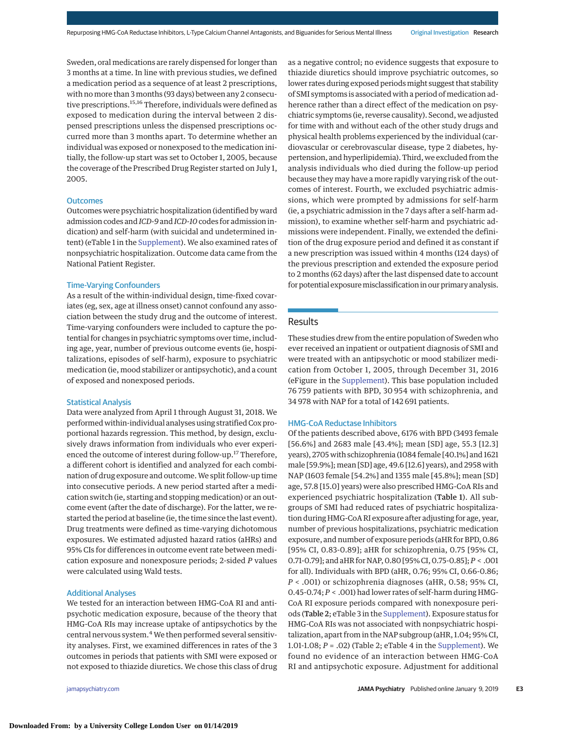Sweden, oral medications are rarely dispensed for longer than 3 months at a time. In line with previous studies, we defined a medication period as a sequence of at least 2 prescriptions, with no more than 3 months (93 days) between any 2 consecutive prescriptions.15,16 Therefore, individuals were defined as exposed to medication during the interval between 2 dispensed prescriptions unless the dispensed prescriptions occurred more than 3 months apart. To determine whether an individual was exposed or nonexposed to the medication initially, the follow-up start was set to October 1, 2005, because the coverage of the Prescribed Drug Register started on July 1, 2005.

#### **Outcomes**

Outcomes were psychiatric hospitalization (identified by ward admission codes and *ICD-9* and *ICD-10*codes for admission indication) and self-harm (with suicidal and undetermined intent) (eTable 1 in the [Supplement\)](https://jama.jamanetwork.com/article.aspx?doi=10.1001/jamapsychiatry.2018.3907&utm_campaign=articlePDF%26utm_medium=articlePDFlink%26utm_source=articlePDF%26utm_content=jamapsychiatry.2018.3907). We also examined rates of nonpsychiatric hospitalization. Outcome data came from the National Patient Register.

## Time-Varying Confounders

As a result of the within-individual design, time-fixed covariates (eg, sex, age at illness onset) cannot confound any association between the study drug and the outcome of interest. Time-varying confounders were included to capture the potential for changes in psychiatric symptoms over time, including age, year, number of previous outcome events (ie, hospitalizations, episodes of self-harm), exposure to psychiatric medication (ie, mood stabilizer or antipsychotic), and a count of exposed and nonexposed periods.

#### Statistical Analysis

Data were analyzed from April 1 through August 31, 2018. We performed within-individual analyses using stratified Cox proportional hazards regression. This method, by design, exclusively draws information from individuals who ever experienced the outcome of interest during follow-up.<sup>17</sup> Therefore, a different cohort is identified and analyzed for each combination of drug exposure and outcome.We split follow-up time into consecutive periods. A new period started after a medication switch (ie, starting and stopping medication) or an outcome event (after the date of discharge). For the latter, we restarted the period at baseline (ie, the time since the last event). Drug treatments were defined as time-varying dichotomous exposures. We estimated adjusted hazard ratios (aHRs) and 95% CIs for differences in outcome event rate between medication exposure and nonexposure periods; 2-sided *P* values were calculated using Wald tests.

## Additional Analyses

We tested for an interaction between HMG-CoA RI and antipsychotic medication exposure, because of the theory that HMG-CoA RIs may increase uptake of antipsychotics by the central nervous system.<sup>4</sup> We then performed several sensitivity analyses. First, we examined differences in rates of the 3 outcomes in periods that patients with SMI were exposed or not exposed to thiazide diuretics. We chose this class of drug

as a negative control; no evidence suggests that exposure to thiazide diuretics should improve psychiatric outcomes, so lower rates during exposed periods might suggest that stability of SMI symptoms is associated with a period of medication adherence rather than a direct effect of the medication on psychiatric symptoms (ie, reverse causality). Second, we adjusted for time with and without each of the other study drugs and physical health problems experienced by the individual (cardiovascular or cerebrovascular disease, type 2 diabetes, hypertension, and hyperlipidemia). Third, we excluded from the analysis individuals who died during the follow-up period because they may have a more rapidly varying risk of the outcomes of interest. Fourth, we excluded psychiatric admissions, which were prompted by admissions for self-harm (ie, a psychiatric admission in the 7 days after a self-harm admission), to examine whether self-harm and psychiatric admissions were independent. Finally, we extended the definition of the drug exposure period and defined it as constant if a new prescription was issued within 4 months (124 days) of the previous prescription and extended the exposure period to 2 months (62 days) after the last dispensed date to account for potential exposure misclassification in our primary analysis.

## Results

These studies drew from the entire population of Sweden who ever received an inpatient or outpatient diagnosis of SMI and were treated with an antipsychotic or mood stabilizer medication from October 1, 2005, through December 31, 2016 (eFigure in the [Supplement\)](https://jama.jamanetwork.com/article.aspx?doi=10.1001/jamapsychiatry.2018.3907&utm_campaign=articlePDF%26utm_medium=articlePDFlink%26utm_source=articlePDF%26utm_content=jamapsychiatry.2018.3907). This base population included 76 759 patients with BPD, 30 954 with schizophrenia, and 34 978 with NAP for a total of 142 691 patients.

#### HMG-CoA Reductase Inhibitors

Of the patients described above, 6176 with BPD (3493 female [56.6%] and 2683 male [43.4%]; mean [SD] age, 55.3 [12.3] years), 2705 with schizophrenia (1084 female [40.1%] and 1621 male [59.9%]; mean [SD] age, 49.6 [12.6] years), and 2958 with NAP (1603 female [54.2%] and 1355 male [45.8%]; mean [SD] age, 57.8 [15.0] years) were also prescribed HMG-CoA RIs and experienced psychiatric hospitalization (Table 1). All subgroups of SMI had reduced rates of psychiatric hospitalization during HMG-CoA RI exposure after adjusting for age, year, number of previous hospitalizations, psychiatric medication exposure, and number of exposure periods (aHR for BPD, 0.86 [95% CI, 0.83-0.89]; aHR for schizophrenia, 0.75 [95% CI, 0.71-0.79]; and aHR for NAP, 0.80 [95% CI, 0.75-0.85];*P* < .001 for all). Individuals with BPD (aHR, 0.76; 95% CI, 0.66-0.86; *P* < .001) or schizophrenia diagnoses (aHR, 0.58; 95% CI, 0.45-0.74; *P* < .001) had lower rates of self-harm during HMG-CoA RI exposure periods compared with nonexposure periods (Table 2; eTable 3 in the [Supplement\)](https://jama.jamanetwork.com/article.aspx?doi=10.1001/jamapsychiatry.2018.3907&utm_campaign=articlePDF%26utm_medium=articlePDFlink%26utm_source=articlePDF%26utm_content=jamapsychiatry.2018.3907). Exposure status for HMG-CoA RIs was not associated with nonpsychiatric hospitalization, apart from in the NAP subgroup (aHR, 1.04; 95% CI, 1.01-1.08; *P* = .02) (Table 2; eTable 4 in the [Supplement\)](https://jama.jamanetwork.com/article.aspx?doi=10.1001/jamapsychiatry.2018.3907&utm_campaign=articlePDF%26utm_medium=articlePDFlink%26utm_source=articlePDF%26utm_content=jamapsychiatry.2018.3907). We found no evidence of an interaction between HMG-CoA RI and antipsychotic exposure. Adjustment for additional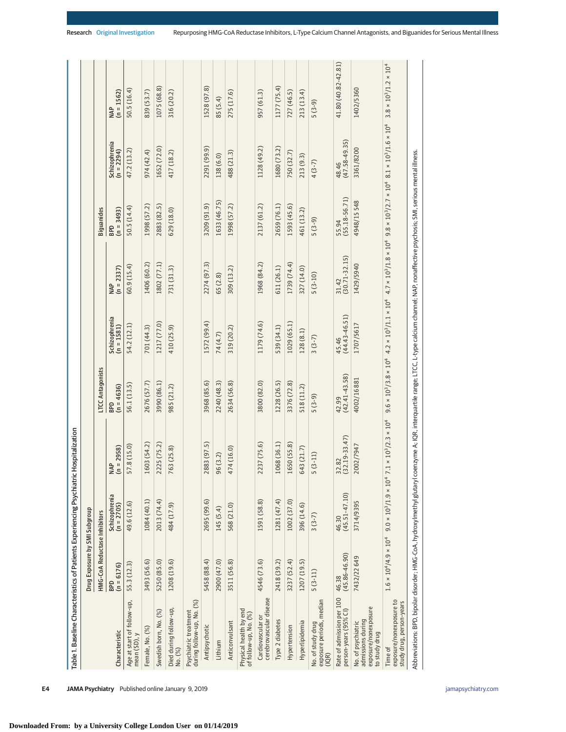| Table 1. Baseline Characteristics of Patients Experiencing Psychiatric                                                                                                                               |                                   |                             | Hospitalization                                                         |                            |                             |                            |                            |                             |                                                                                                                                                                                                       |
|------------------------------------------------------------------------------------------------------------------------------------------------------------------------------------------------------|-----------------------------------|-----------------------------|-------------------------------------------------------------------------|----------------------------|-----------------------------|----------------------------|----------------------------|-----------------------------|-------------------------------------------------------------------------------------------------------------------------------------------------------------------------------------------------------|
|                                                                                                                                                                                                      | Drug Exposure by SMI Subgroup     |                             |                                                                         |                            |                             |                            |                            |                             |                                                                                                                                                                                                       |
|                                                                                                                                                                                                      | HMG-CoA Reductase Inhibitors      |                             |                                                                         | <b>LTCC Antagonists</b>    |                             |                            | Biguanides                 |                             |                                                                                                                                                                                                       |
| Characteristic                                                                                                                                                                                       | $(n = 6176)$<br><b>GdB</b>        | Schizophrenia<br>(n = 2705) | $MAP$<br>(n = 2958)                                                     | $(n = 4636)$<br><b>GdB</b> | Schizophrenia<br>(n = 1581) | $(n = 2337)$<br><b>NAP</b> | $_{(n = 3493)}^{BPD}$      | Schizophrenia<br>(n = 2294) | $(n = 1562)$<br><b>NAP</b>                                                                                                                                                                            |
| Age at start of follow-up,<br>mean (SD), y                                                                                                                                                           | 55.3 (12.3)                       | 49.6 (12.6)                 | 57.8 (15.0)                                                             | 56.1 (13.5)                | 54.2 (12.1)                 | 60.9 (15.4)                | 50.5 (14.4)                | 47.2 (13.2)                 | 50.5(16.4)                                                                                                                                                                                            |
| Female, No. (%)                                                                                                                                                                                      | 3493 (56.6)                       | 1084 (40.1)                 | 1603 (54.2)                                                             | 2676 (57.7)                | 701 (44.3)                  | 1406 (60.2)                | 1998 (57.2)                | 974 (42.4)                  | 839 (53.7)                                                                                                                                                                                            |
| Swedish born, No. (%)                                                                                                                                                                                | 5250 (85.0)                       | 2013 (74.4)                 | 2225 (75.2)                                                             | 3990 (86.1)                | 1217 (77.0)                 | 1802 (77.1)                | 2883 (82.5)                | 1652 (72.0)                 | 1075 (68.8)                                                                                                                                                                                           |
| Died during follow-up,<br>No. (%)                                                                                                                                                                    | 1208 (19.6)                       | 484 (17.9)                  | 763 (25.8)                                                              | 985 (21.2)                 | 410 (25.9)                  | 731 (31.3)                 | 629 (18.0)                 | 417 (18.2)                  | 316 (20.2)                                                                                                                                                                                            |
| during follow-up, No. (%)<br>Psychiatric treatment                                                                                                                                                   |                                   |                             |                                                                         |                            |                             |                            |                            |                             |                                                                                                                                                                                                       |
| Antipsychotic                                                                                                                                                                                        | 5458 (88.4)                       | 2695 (99.6)                 | 2883 (97.5)                                                             | 3968 (85.6)                | 1572 (99.4)                 | 2274 (97.3)                | 3209 (91.9)                | 2291 (99.9)                 | 1528 (97.8)                                                                                                                                                                                           |
| Lithium                                                                                                                                                                                              | 2900 (47.0)                       | 145 (5.4)                   | 96 (3.2)                                                                | 2240 (48.3)                | 74 (4.7)                    | 65 (2.8)                   | 1633 (46.75)               | 138 (6.0)                   | 85 (5.4)                                                                                                                                                                                              |
| Anticonvulsant                                                                                                                                                                                       | 3511 (56.8)                       | 568 (21.0)                  | 474 (16.0)                                                              | 2634 (56.8)                | 319 (20.2)                  | 309 (13.2)                 | 1998 (57.2)                | 488 (21.3)                  | 275 (17.6)                                                                                                                                                                                            |
| Physical health by end<br>of follow-up, No. (%)                                                                                                                                                      |                                   |                             |                                                                         |                            |                             |                            |                            |                             |                                                                                                                                                                                                       |
| cerebrovascular disease<br>Cardiovascular or                                                                                                                                                         | 4546 (73.6)                       | 1591 (58.8)                 | 2237 (75.6)                                                             | 3800 (82.0)                | 1179 (74.6)                 | 1968 (84.2)                | 2137 (61.2)                | 1128 (49.2)                 | 957 (61.3)                                                                                                                                                                                            |
| Type 2 diabetes                                                                                                                                                                                      | 2418 (39.2)                       | 1281 (47.4)                 | 1068 (36.1)                                                             | 1228 (26.5)                | 539 (34.1)                  | 611 (26.1)                 | 2659 (76.1)                | 1680 (73.2)                 | 1177 (75.4)                                                                                                                                                                                           |
| Hypertension                                                                                                                                                                                         | 3237 (52.4)                       | 1002 (37.0)                 | 1650 (55.8)                                                             | 3376 (72.8)                | 1029 (65.1)                 | 1739 (74.4)                | 1593 (45.6)                | 750 (32.7)                  | 727 (46.5)                                                                                                                                                                                            |
| Hyperlipidemia                                                                                                                                                                                       | 1207 (19.5)                       | 396 (14.6)                  | 643 (21.7)                                                              | 518 (11.2)                 | 128 (8.1)                   | 327 (14.0)                 | 461 (13.2)                 | 213 (9.3)                   | 213 (13.4)                                                                                                                                                                                            |
| No. of study drug<br>exposure periods, median<br>(IQR)                                                                                                                                               | $5(3-11)$                         | $3(3-7)$                    | $(3-11)$<br>S                                                           | $5(3-9)$                   | $3(3-7)$                    | $5(3-10)$                  | $5(3-9)$                   | $4(3-7)$                    | $5(3-9)$                                                                                                                                                                                              |
| Rate of admission per 100<br>person-years (95% CI)                                                                                                                                                   | $(45.86 - 46.90)$<br>46.38        | 46.30<br>(45.51-47.10)      | $\frac{32.82}{(32.19-33.47)}$                                           | $(42.41 - 43.58)$<br>42.99 | $(44.43 - 46.51)$<br>45.46  | $(30.71 - 32.15)$<br>31.42 | $(55.18 - 56.71)$<br>55.94 | 48.46<br>(47.58-49.35)      | 41.80 (40.82-42.81)                                                                                                                                                                                   |
| exposure/nonexposure<br>admissions during<br>No. of psychiatric<br>to study drug                                                                                                                     | 7432/22 649                       | 3714/9395                   | 2002/7947                                                               | 4002/16881                 | 1707/5617                   | 1429/5940                  | 4948/15548                 | 3361/8200                   | 1402/5360                                                                                                                                                                                             |
| exposure/nonexposure to<br>study drug, person-years<br>Time of                                                                                                                                       | $1.6 \times 10^4/4.9 \times 10^4$ |                             | $9.0 \times 10^3 / 1.9 \times 10^4$ 7.1 $\times 10^3 / 2.3 \times 10^4$ |                            |                             |                            |                            |                             | $9.6 \times 10^4 / 3.8 \times 10^4$ 4.2 $\times 10^4 / 1.1 \times 10^4$ 4.7 $\times 10^4 / 1.8 \times 10^4 / 2.7 \times 10^4$ 8.1 $\times 10^4 / 1.6 \times 10^4$ 3.8 $\times 10^4 / 1.2 \times 10^4$ |
| Abbreviations: BPD, bipolar disorder: HMG-CoA, hydroxylmethyl glutaryl coenzyme A: IQR, interquartile range: LTCC, L-type calcium channel: NAP, nonaffective psychosis; SMI, serious mental illness. |                                   |                             |                                                                         |                            |                             |                            |                            |                             |                                                                                                                                                                                                       |

**E4 JAMA Psychiatry** Published online January 9, 2019 **(Reprinting)** in the state of the state of the state of the state of the state of the state of the state of the state of the state of the state of the state of the sta

**Downloaded From: by a University College London User on 01/14/2019**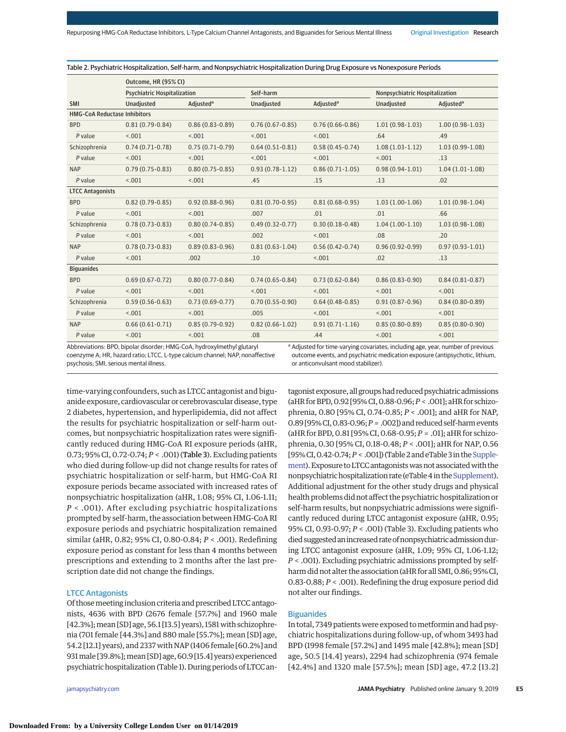Table 2. Psychiatric Hospitalization, Self-harm, and Nonpsychiatric Hospitalization During Drug Exposure vs Nonexposure Periods

|                                     | Outcome, HR (95% CI)               |                       |                     |                       |                                |                       |
|-------------------------------------|------------------------------------|-----------------------|---------------------|-----------------------|--------------------------------|-----------------------|
|                                     | <b>Psychiatric Hospitalization</b> |                       | Self-harm           |                       | Nonpsychiatric Hospitalization |                       |
| <b>SMI</b>                          | <b>Unadjusted</b>                  | Adjusted <sup>a</sup> | Unadjusted          | Adjusted <sup>a</sup> | <b>Unadjusted</b>              | Adjusted <sup>a</sup> |
| <b>HMG-CoA Reductase Inhibitors</b> |                                    |                       |                     |                       |                                |                       |
| <b>BPD</b>                          | $0.81(0.79-0.84)$                  | $0.86(0.83 - 0.89)$   | $0.76(0.67 - 0.85)$ | $0.76(0.66 - 0.86)$   | $1.01(0.98-1.03)$              | $1.00(0.98-1.03)$     |
| P value                             | < 0.01                             | < .001                | < 0.01              | < 0.01                | .64                            | .49                   |
| Schizophrenia                       | $0.74(0.71-0.78)$                  | $0.75(0.71-0.79)$     | $0.64(0.51-0.81)$   | $0.58(0.45-0.74)$     | $1.08(1.03-1.12)$              | $1.03(0.99-1.08)$     |
| P value                             | < 0.01                             | < .001                | < .001              | < 0.01                | < .001                         | .13                   |
| <b>NAP</b>                          | $0.79(0.75-0.83)$                  | $0.80(0.75-0.85)$     | $0.93(0.78-1.12)$   | $0.86(0.71-1.05)$     | $0.98(0.94-1.01)$              | $1.04(1.01-1.08)$     |
| P value                             | < .001                             | < .001                | .45                 | .15                   | .13                            | .02                   |
| <b>LTCC Antagonists</b>             |                                    |                       |                     |                       |                                |                       |
| <b>BPD</b>                          | $0.82(0.79-0.85)$                  | $0.92(0.88 - 0.96)$   | $0.81(0.70-0.95)$   | $0.81(0.68-0.95)$     | $1.03(1.00-1.06)$              | $1.01(0.98-1.04)$     |
| P value                             | < .001                             | < .001                | .007                | .01                   | .01                            | .66                   |
| Schizophrenia                       | $0.78(0.73 - 0.83)$                | $0.80(0.74-0.85)$     | $0.49(0.32 - 0.77)$ | $0.30(0.18-0.48)$     | $1.04(1.00-1.10)$              | $1.03(0.98-1.08)$     |
| P value                             | < 0.01                             | < .001                | .002                | < .001                | .08                            | .20                   |
| <b>NAP</b>                          | $0.78(0.73 - 0.83)$                | $0.89(0.83 - 0.96)$   | $0.81(0.63-1.04)$   | $0.56(0.42 - 0.74)$   | $0.96(0.92 - 0.99)$            | $0.97(0.93 - 1.01)$   |
| P value                             | < 0.01                             | .002                  | .10                 | < 0.01                | .02                            | .13                   |
| <b>Biguanides</b>                   |                                    |                       |                     |                       |                                |                       |
| <b>BPD</b>                          | $0.69(0.67 - 0.72)$                | $0.80(0.77 - 0.84)$   | $0.74(0.65 - 0.84)$ | $0.73(0.62 - 0.84)$   | $0.86(0.83 - 0.90)$            | $0.84(0.81 - 0.87)$   |
| P value                             | < 0.01                             | < 0.01                | < 0.01              | < 0.01                | < 0.01                         | < 0.01                |
| Schizophrenia                       | $0.59(0.56-0.63)$                  | $0.73(0.69-0.77)$     | $0.70(0.55 - 0.90)$ | $0.64(0.48-0.85)$     | $0.91(0.87-0.96)$              | $0.84(0.80-0.89)$     |
| P value                             | < .001                             | < .001                | .005                | < .001                | < .001                         | 15.001                |
| <b>NAP</b>                          | $0.66(0.61-0.71)$                  | $0.85(0.79-0.92)$     | $0.82(0.66 - 1.02)$ | $0.91(0.71-1.16)$     | $0.85(0.80-0.89)$              | $0.85(0.80-0.90)$     |
| P value                             | < 0.01                             | < .001                | .08                 | .44                   | < .001                         | < .001                |

Abbreviations: BPD, bipolar disorder; HMG-CoA, hydroxylmethyl glutaryl coenzyme A; HR, hazard ratio; LTCC, L-type calcium channel; NAP, nonaffective psychosis; SMI, serious mental illness.

<sup>a</sup> Adjusted for time-varying covariates, including age, year, number of previous outcome events, and psychiatric medication exposure (antipsychotic, lithium, or anticonvulsant mood stabilizer).

time-varying confounders, such as LTCC antagonist and biguanide exposure, cardiovascular or cerebrovascular disease, type 2 diabetes, hypertension, and hyperlipidemia, did not affect the results for psychiatric hospitalization or self-harm outcomes, but nonpsychiatric hospitalization rates were significantly reduced during HMG-CoA RI exposure periods (aHR, 0.73; 95% CI, 0.72-0.74; *P* < .001) (Table 3). Excluding patients who died during follow-up did not change results for rates of psychiatric hospitalization or self-harm, but HMG-CoA RI exposure periods became associated with increased rates of nonpsychiatric hospitalization (aHR, 1.08; 95% CI, 1.06-1.11; *P* < .001). After excluding psychiatric hospitalizations prompted by self-harm, the association between HMG-CoA RI exposure periods and psychiatric hospitalization remained similar (aHR, 0.82; 95% CI, 0.80-0.84; *P* < .001). Redefining exposure period as constant for less than 4 months between prescriptions and extending to 2 months after the last prescription date did not change the findings.

## LTCC Antagonists

Of thosemeeting inclusion criteria and prescribed LTCC antagonists, 4636 with BPD (2676 female [57.7%] and 1960 male [42.3%]; mean [SD] age, 56.1 [13.5] years), 1581 with schizophrenia (701 female [44.3%] and 880 male [55.7%]; mean [SD] age, 54.2 [12.1] years), and 2337 with NAP (1406 female [60.2%] and 931male [39.8%];mean [SD] age, 60.9 [15.4] years) experienced psychiatric hospitalization (Table 1). During periods of LTCC an-

tagonist exposure, all groups had reduced psychiatric admissions (aHR forBPD,0.92 [95%CI,0.88-0.96;*P* < .001]; aHR for schizophrenia, 0.80 [95% CI, 0.74-0.85; *P* < .001]; and aHR for NAP, 0.89 [95%CI,0.83-0.96;*P* = .002]) and reducedself-harm events (aHR for BPD, 0.81 [95% CI, 0.68-0.95; *P* = .01]; aHR for schizophrenia, 0.30 [95% CI, 0.18-0.48; *P* < .001]; aHR for NAP, 0.56 [95% CI, 0.42-0.74; *P* < .001]) (Table 2 and eTable 3 in the [Supple](https://jama.jamanetwork.com/article.aspx?doi=10.1001/jamapsychiatry.2018.3907&utm_campaign=articlePDF%26utm_medium=articlePDFlink%26utm_source=articlePDF%26utm_content=jamapsychiatry.2018.3907)[ment\)](https://jama.jamanetwork.com/article.aspx?doi=10.1001/jamapsychiatry.2018.3907&utm_campaign=articlePDF%26utm_medium=articlePDFlink%26utm_source=articlePDF%26utm_content=jamapsychiatry.2018.3907). Exposure to LTCC antagonists was not associated with the nonpsychiatric hospitalization rate (eTable 4 in the Supplement). Additional adjustment for the other study drugs and physical health problems did not affect the psychiatric hospitalization or self-harm results, but nonpsychiatric admissions were significantly reduced during LTCC antagonist exposure (aHR, 0.95; 95% CI, 0.93-0.97; *P* < .001) (Table 3). Excluding patients who died suggested an increased rate of nonpsychiatric admission during LTCC antagonist exposure (aHR, 1.09; 95% CI, 1.06-1.12; *P* < .001). Excluding psychiatric admissions prompted by selfharm did not alter the association (aHR for all SMI, 0.86; 95% CI, 0.83-0.88; *P* < .001). Redefining the drug exposure period did not alter our findings.

#### **Biguanides**

In total, 7349 patients were exposed to metformin and had psychiatric hospitalizations during follow-up, of whom 3493 had BPD (1998 female [57.2%] and 1495 male [42.8%]; mean [SD] age, 50.5 [14.4] years), 2294 had schizophrenia (974 female [42.4%] and 1320 male [57.5%]; mean [SD] age, 47.2 [13.2]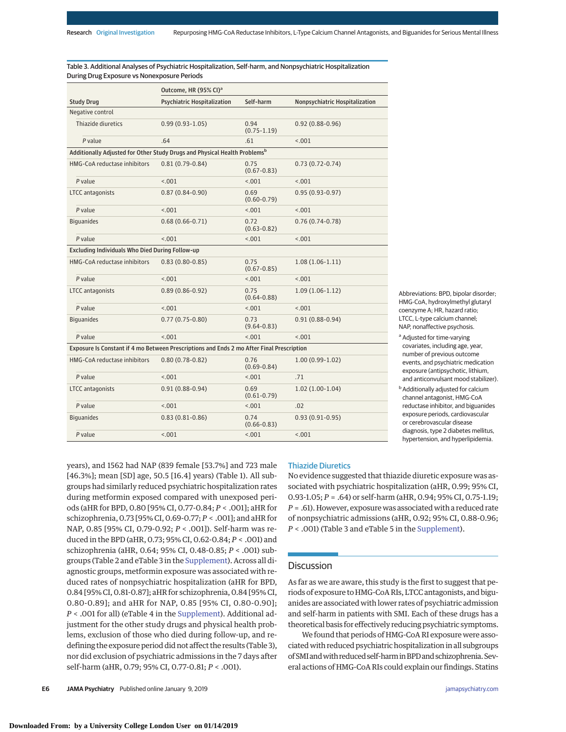Table 3. Additional Analyses of Psychiatric Hospitalization, Self-harm, and Nonpsychiatric Hospitalization During Drug Exposure vs Nonexposure Periods

|                                                                                           | Outcome, HR (95% CI) <sup>a</sup>  |                         |                                |  |  |  |
|-------------------------------------------------------------------------------------------|------------------------------------|-------------------------|--------------------------------|--|--|--|
| <b>Study Drug</b>                                                                         | <b>Psychiatric Hospitalization</b> | Self-harm               | Nonpsychiatric Hospitalization |  |  |  |
| Negative control                                                                          |                                    |                         |                                |  |  |  |
| Thiazide diuretics                                                                        | $0.99(0.93-1.05)$                  | 0.94<br>$(0.75 - 1.19)$ | $0.92(0.88-0.96)$              |  |  |  |
| P value                                                                                   | .64                                | .61                     | < .001                         |  |  |  |
| Additionally Adjusted for Other Study Drugs and Physical Health Problems <sup>b</sup>     |                                    |                         |                                |  |  |  |
| HMG-CoA reductase inhibitors                                                              | $0.81(0.79-0.84)$                  | 0.75<br>$(0.67 - 0.83)$ | $0.73(0.72-0.74)$              |  |  |  |
| P value                                                                                   | < .001                             | < .001                  | < .001                         |  |  |  |
| <b>LTCC</b> antagonists                                                                   | $0.87(0.84 - 0.90)$                | 0.69<br>$(0.60 - 0.79)$ | $0.95(0.93 - 0.97)$            |  |  |  |
| P value                                                                                   | < .001                             | < .001                  | < .001                         |  |  |  |
| <b>Biquanides</b>                                                                         | $0.68(0.66 - 0.71)$                | 0.72<br>$(0.63 - 0.82)$ | $0.76(0.74-0.78)$              |  |  |  |
| P value                                                                                   | < .001                             | < .001                  | < .001                         |  |  |  |
| Excluding Individuals Who Died During Follow-up                                           |                                    |                         |                                |  |  |  |
| HMG-CoA reductase inhibitors                                                              | $0.83(0.80-0.85)$                  | 0.75<br>$(0.67 - 0.85)$ | $1.08(1.06-1.11)$              |  |  |  |
| P value                                                                                   | < 0.01                             | < .001                  | < 0.01                         |  |  |  |
| <b>LTCC</b> antagonists                                                                   | $0.89(0.86 - 0.92)$                | 0.75<br>$(0.64 - 0.88)$ | $1.09(1.06-1.12)$              |  |  |  |
| P value                                                                                   | < .001                             | < .001                  | < .001                         |  |  |  |
| <b>Biguanides</b>                                                                         | $0.77(0.75 - 0.80)$                | 0.73<br>$(9.64 - 0.83)$ | $0.91(0.88-0.94)$              |  |  |  |
| P value                                                                                   | < 0.01                             | < .001                  | < 0.01                         |  |  |  |
| Exposure Is Constant if 4 mo Between Prescriptions and Ends 2 mo After Final Prescription |                                    |                         |                                |  |  |  |
| HMG-CoA reductase inhibitors                                                              | $0.80(0.78-0.82)$                  | 0.76<br>$(0.69 - 0.84)$ | $1.00(0.99-1.02)$              |  |  |  |
| P value                                                                                   | < .001                             | < .001                  | .71                            |  |  |  |
| LTCC antagonists                                                                          | $0.91(0.88-0.94)$                  | 0.69<br>$(0.61 - 0.79)$ | $1.02(1.00-1.04)$              |  |  |  |
| P value                                                                                   | < .001                             | < .001                  | .02                            |  |  |  |
| <b>Biquanides</b>                                                                         | $0.83(0.81-0.86)$                  | 0.74<br>$(0.66 - 0.83)$ | $0.93(0.91-0.95)$              |  |  |  |
| P value                                                                                   | < .001                             | < .001                  | < .001                         |  |  |  |

Abbreviations: BPD, bipolar disorder; HMG-CoA, hydroxylmethyl glutaryl coenzyme A; HR, hazard ratio; LTCC, L-type calcium channel; NAP, nonaffective psychosis.

- a Adiusted for time-varying covariates, including age, year, number of previous outcome events, and psychiatric medication exposure (antipsychotic, lithium, and anticonvulsant mood stabilizer).
- **b** Additionally adjusted for calcium channel antagonist, HMG-CoA reductase inhibitor, and biguanides exposure periods, cardiovascular or cerebrovascular disease diagnosis, type 2 diabetes mellitus, hypertension, and hyperlipidemia.

years), and 1562 had NAP (839 female [53.7%] and 723 male [46.3%]; mean [SD] age, 50.5 [16.4] years) (Table 1). All subgroups had similarly reduced psychiatric hospitalization rates during metformin exposed compared with unexposed periods (aHR for BPD, 0.80 [95% CI, 0.77-0.84; *P* < .001]; aHR for schizophrenia, 0.73 [95% CI, 0.69-0.77; *P* < .001]; and aHR for NAP, 0.85 [95% CI, 0.79-0.92; *P* < .001]). Self-harm was reduced in the BPD (aHR, 0.73; 95% CI, 0.62-0.84; *P* < .001) and schizophrenia (aHR, 0.64; 95% CI, 0.48-0.85; *P* < .001) subgroups (Table 2 and eTable 3 in the [Supplement\)](https://jama.jamanetwork.com/article.aspx?doi=10.1001/jamapsychiatry.2018.3907&utm_campaign=articlePDF%26utm_medium=articlePDFlink%26utm_source=articlePDF%26utm_content=jamapsychiatry.2018.3907). Across all diagnostic groups, metformin exposure was associated with reduced rates of nonpsychiatric hospitalization (aHR for BPD, 0.84 [95% CI, 0.81-0.87]; aHR for schizophrenia, 0.84 [95% CI, 0.80-0.89]; and aHR for NAP, 0.85 [95% CI, 0.80-0.90]; *P* < .001 for all) (eTable 4 in the [Supplement\)](https://jama.jamanetwork.com/article.aspx?doi=10.1001/jamapsychiatry.2018.3907&utm_campaign=articlePDF%26utm_medium=articlePDFlink%26utm_source=articlePDF%26utm_content=jamapsychiatry.2018.3907). Additional adjustment for the other study drugs and physical health problems, exclusion of those who died during follow-up, and redefining the exposure period did not affect the results (Table 3), nor did exclusion of psychiatric admissions in the 7 days after self-harm (aHR, 0.79; 95% CI, 0.77-0.81; *P* < .001).

## Thiazide Diuretics

No evidence suggested that thiazide diuretic exposure was associated with psychiatric hospitalization (aHR, 0.99; 95% CI, 0.93-1.05; *P* = .64) or self-harm (aHR, 0.94; 95% CI, 0.75-1.19; *P* = .61).However, exposure was associated with a reduced rate of nonpsychiatric admissions (aHR, 0.92; 95% CI, 0.88-0.96; *P* < .001) (Table 3 and eTable 5 in the [Supplement\)](https://jama.jamanetwork.com/article.aspx?doi=10.1001/jamapsychiatry.2018.3907&utm_campaign=articlePDF%26utm_medium=articlePDFlink%26utm_source=articlePDF%26utm_content=jamapsychiatry.2018.3907).

#### **Discussion**

As far as we are aware, this study is the first to suggest that periods of exposure to HMG-CoA RIs, LTCC antagonists, and biguanides are associated with lower rates of psychiatric admission and self-harm in patients with SMI. Each of these drugs has a theoretical basis for effectively reducing psychiatric symptoms.

We found that periods of HMG-CoA RI exposure were associated with reduced psychiatric hospitalization in all subgroups ofSMIandwith reducedself-harm inBPDandschizophrenia.Several actions of HMG-CoA RIs could explain our findings. Statins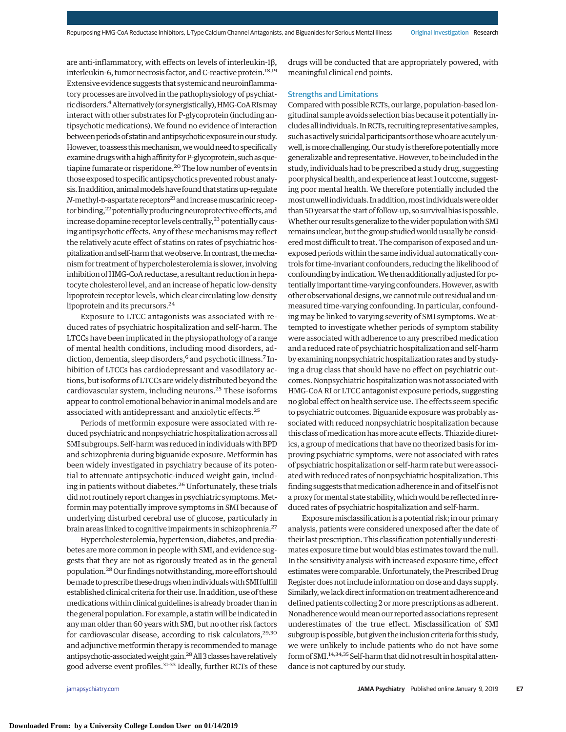are anti-inflammatory, with effects on levels of interleukin-1β, interleukin-6, tumor necrosis factor, and C-reactive protein.<sup>18,19</sup> Extensive evidence suggests that systemic and neuroinflammatory processes are involved in the pathophysiology of psychiatric disorders.<sup>4</sup> Alternatively (or synergistically), HMG-CoA RIs may interact with other substrates for P-glycoprotein (including antipsychotic medications). We found no evidence of interaction between periods of statin and antipsychotic exposure in our study. However, to assess this mechanism, we would need to specifically examine drugs with a high affinity for P-glycoprotein, such as quetiapine fumarate or risperidone.20 The low number of events in those exposed to specific antipsychotics prevented robust analysis. Inaddition,animalmodelshave found thatstatinsup-regulate *N*-methyl-D-aspartate receptors<sup>21</sup> and increase muscarinic receptor binding,<sup>22</sup> potentially producing neuroprotective effects, and increase dopamine receptor levels centrally, $^{23}$  potentially causing antipsychotic effects. Any of these mechanisms may reflect the relatively acute effect of statins on rates of psychiatric hospitalization and self-harm that we observe. In contrast, the mechanism for treatment of hypercholesterolemia is slower, involving inhibition of HMG-CoA reductase, a resultant reduction in hepatocyte cholesterol level, and an increase of hepatic low-density lipoprotein receptor levels, which clear circulating low-density lipoprotein and its precursors.24

Exposure to LTCC antagonists was associated with reduced rates of psychiatric hospitalization and self-harm. The LTCCs have been implicated in the physiopathology of a range of mental health conditions, including mood disorders, addiction, dementia, sleep disorders,<sup>6</sup> and psychotic illness.<sup>7</sup> Inhibition of LTCCs has cardiodepressant and vasodilatory actions, but isoforms of LTCCs are widely distributed beyond the cardiovascular system, including neurons.<sup>25</sup> These isoforms appear to control emotional behavior in animalmodels and are associated with antidepressant and anxiolytic effects.<sup>25</sup>

Periods of metformin exposure were associated with reduced psychiatric and nonpsychiatric hospitalization across all SMI subgroups. Self-harm was reduced in individuals with BPD and schizophrenia during biguanide exposure. Metformin has been widely investigated in psychiatry because of its potential to attenuate antipsychotic-induced weight gain, including in patients without diabetes.<sup>26</sup> Unfortunately, these trials did not routinely report changes in psychiatric symptoms. Metformin may potentially improve symptoms in SMI because of underlying disturbed cerebral use of glucose, particularly in brain areas linked to cognitive impairments in schizophrenia.<sup>27</sup>

Hypercholesterolemia, hypertension, diabetes, and prediabetes are more common in people with SMI, and evidence suggests that they are not as rigorously treated as in the general population.<sup>28</sup> Our findings notwithstanding, more effort should bemade toprescribe thesedrugswhen individualswithSMI fulfill established clinical criteria for their use. In addition, use of these medicationswithin clinical guidelines is already broader than in the general population. For example, a statinwill be indicated in any man older than 60 years with SMI, but no other risk factors for cardiovascular disease, according to risk calculators, $29,30$ and adjunctive metformin therapy is recommended to manage antipsychotic-associated weight gain.<sup>28</sup> All 3 classes have relatively good adverse event profiles.31-33 Ideally, further RCTs of these drugs will be conducted that are appropriately powered, with meaningful clinical end points.

#### Strengths and Limitations

Compared with possible RCTs, our large, population-based longitudinal sample avoids selection bias because it potentially includes all individuals. In RCTs, recruiting representative samples, such as actively suicidal participants or those who are acutely unwell, is more challenging. Our study is therefore potentially more generalizable and representative. However, to be included in the study, individuals had to be prescribed a study drug, suggesting poor physical health, and experience at least 1 outcome, suggesting poor mental health. We therefore potentially included the most unwell individuals. In addition, most individuals were older than 50 years at the start of follow-up, so survival bias is possible. Whether our results generalize to the wider population with SMI remains unclear, but the group studied would usually be consideredmost difficult to treat. The comparison of exposed and unexposed periods within the same individual automatically controls for time-invariant confounders, reducing the likelihood of confounding by indication.We then additionally adjusted forpotentially important time-varying confounders. However, as with other observational designs,we cannot rule out residual and unmeasured time-varying confounding. In particular, confounding may be linked to varying severity of SMI symptoms. We attempted to investigate whether periods of symptom stability were associated with adherence to any prescribed medication and a reduced rate of psychiatric hospitalization and self-harm by examining nonpsychiatric hospitalization rates and by studying a drug class that should have no effect on psychiatric outcomes. Nonpsychiatric hospitalization was not associated with HMG-CoA RI or LTCC antagonist exposure periods, suggesting no global effect on health service use. The effects seem specific to psychiatric outcomes. Biguanide exposure was probably associated with reduced nonpsychiatric hospitalization because this class of medication has more acute effects. Thiazide diuretics, a group of medications that have no theorized basis for improving psychiatric symptoms, were not associated with rates of psychiatric hospitalization or self-harm rate but were associated with reduced rates of nonpsychiatric hospitalization. This finding suggests that medication adherence in and of itself is not a proxy for mental state stability, which would be reflected in reduced rates of psychiatric hospitalization and self-harm.

Exposure misclassification is a potential risk; in our primary analysis, patients were considered unexposed after the date of their last prescription. This classification potentially underestimates exposure time but would bias estimates toward the null. In the sensitivity analysis with increased exposure time, effect estimates were comparable. Unfortunately, the Prescribed Drug Register does not include information on dose and days supply. Similarly, we lack direct information on treatment adherence and defined patients collecting 2 or more prescriptions as adherent. Nonadherencewouldmean our reported associations represent underestimates of the true effect. Misclassification of SMI subgroup is possible, but given the inclusion criteria for this study, we were unlikely to include patients who do not have some form of SMI.<sup>14,34,35</sup> Self-harm that didnot result in hospital attendance is not captured by our study.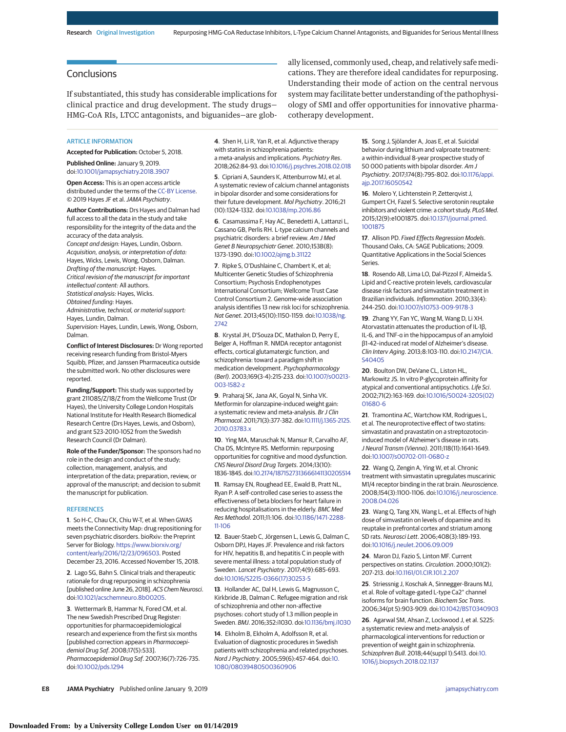## **Conclusions**

If substantiated, this study has considerable implications for clinical practice and drug development. The study drugs— HMG-CoA RIs, LTCC antagonists, and biguanides—are glob-

**ARTICLE INFORMATION** 

**Accepted for Publication:** October 5, 2018.

**Published Online:** January 9, 2019. doi[:10.1001/jamapsychiatry.2018.3907](https://jama.jamanetwork.com/article.aspx?doi=10.1001/jamapsychiatry.2018.3907&utm_campaign=articlePDF%26utm_medium=articlePDFlink%26utm_source=articlePDF%26utm_content=jamapsychiatry.2018.3907)

**Open Access:** This is an open access article distributed under the terms of the [CC-BY License.](https://jamanetwork.com/journals/jamapsychiatry/pages/instructions-for-authors/?utm_campaign=articlePDF%26utm_medium=articlePDFlink%26utm_source=articlePDF%26utm_content=jamapsychiatry.2018.3907#SecOpenAccess) © 2019 Hayes JF et al.JAMA Psychiatry.

**Author Contributions:** Drs Hayes and Dalman had full access to all the data in the study and take responsibility for the integrity of the data and the accuracy of the data analysis. Concept and design: Hayes, Lundin, Osborn. Acquisition, analysis, or interpretation of data: Hayes, Wicks, Lewis, Wong, Osborn, Dalman. Drafting of the manuscript: Hayes. Critical revision of the manuscript for important intellectual content: All authors. Statistical analysis: Hayes, Wicks. Obtained funding: Hayes. Administrative, technical, or material support: Hayes, Lundin, Dalman.

Supervision: Hayes, Lundin, Lewis, Wong, Osborn, Dalman.

**Conflict of Interest Disclosures:** Dr Wong reported receiving research funding from Bristol-Myers Squibb, Pfizer, and Janssen Pharmaceutica outside the submitted work. No other disclosures were reported.

**Funding/Support:** This study was supported by grant 211085/Z/18/Z from the Wellcome Trust (Dr Hayes), the University College London Hospitals National Institute for Health Research Biomedical Research Centre (Drs Hayes, Lewis, and Osborn), and grant 523-2010-1052 from the Swedish Research Council (Dr Dalman).

**Role of the Funder/Sponsor:** The sponsors had no role in the design and conduct of the study; collection, management, analysis, and interpretation of the data; preparation, review, or approval of the manuscript; and decision to submit the manuscript for publication.

#### **REFERENCES**

**1**. So H-C, Chau CK, Chiu W-T, et al. When GWAS meets the Connectivity Map: drug repositioning for seven psychiatric disorders. bioRxiv: the Preprint Server for Biology. [https://www.biorxiv.org/](https://www.biorxiv.org/content/early/2016/12/23/096503) [content/early/2016/12/23/096503.](https://www.biorxiv.org/content/early/2016/12/23/096503) Posted December 23, 2016. Accessed November 15, 2018.

**2**. Lago SG, Bahn S. Clinical trials and therapeutic rationale for drug repurposing in schizophrenia [published online June 26, 2018]. ACS Chem Neurosci. doi[:10.1021/acschemneuro.8b00205.](https://dx.doi.org/10.1021/acschemneuro.8b00205)

**3**. Wettermark B, Hammar N, Fored CM, et al. The new Swedish Prescribed Drug Register: opportunities for pharmacoepidemiological research and experience from the first six months [published correction appears in Pharmacoepidemiol Drug Saf. 2008;17(5):533]. Pharmacoepidemiol Drug Saf. 2007;16(7):726-735. doi[:10.1002/pds.1294](https://dx.doi.org/10.1002/pds.1294)

**4**. Shen H, Li R, Yan R, et al. Adjunctive therapy with statins in schizophrenia patients: a meta-analysis and implications. Psychiatry Res. 2018;262:84-93. doi[:10.1016/j.psychres.2018.02.018](https://dx.doi.org/10.1016/j.psychres.2018.02.018)

**5**. Cipriani A, Saunders K, Attenburrow MJ, et al. A systematic review of calcium channel antagonists in bipolar disorder and some considerations for their future development. Mol Psychiatry. 2016;21 (10):1324-1332. doi[:10.1038/mp.2016.86](https://dx.doi.org/10.1038/mp.2016.86)

**6**. Casamassima F, Hay AC, Benedetti A, Lattanzi L, Cassano GB, Perlis RH. L-type calcium channels and psychiatric disorders: a brief review. Am J Med Genet B Neuropsychiatr Genet. 2010;153B(8): 1373-1390. doi[:10.1002/ajmg.b.31122](https://dx.doi.org/10.1002/ajmg.b.31122)

**7**. Ripke S, O'Dushlaine C, Chambert K, et al; Multicenter Genetic Studies of Schizophrenia Consortium; Psychosis Endophenotypes International Consortium; Wellcome Trust Case Control Consortium 2. Genome-wide association analysis identifies 13 new risk loci for schizophrenia. Nat Genet. 2013;45(10):1150-1159. doi[:10.1038/ng.](https://dx.doi.org/10.1038/ng.2742) [2742](https://dx.doi.org/10.1038/ng.2742)

**8**. Krystal JH, D'Souza DC, Mathalon D, Perry E, Belger A, Hoffman R. NMDA receptor antagonist effects, cortical glutamatergic function, and schizophrenia: toward a paradigm shift in medication development. Psychopharmacology (Berl). 2003;169(3-4):215-233. doi[:10.1007/s00213-](https://dx.doi.org/10.1007/s00213-003-1582-z) [003-1582-z](https://dx.doi.org/10.1007/s00213-003-1582-z)

**9**. Praharaj SK, Jana AK, Goyal N, Sinha VK. Metformin for olanzapine-induced weight gain: a systematic review and meta-analysis. Br J Clin Pharmacol. 2011;71(3):377-382. doi[:10.1111/j.1365-2125.](https://dx.doi.org/10.1111/j.1365-2125.2010.03783.x) [2010.03783.x](https://dx.doi.org/10.1111/j.1365-2125.2010.03783.x)

**10**. Ying MA, Maruschak N, Mansur R, Carvalho AF, Cha DS, McIntyre RS. Metformin: repurposing opportunities for cognitive and mood dysfunction. CNS Neurol Disord Drug Targets. 2014;13(10): 1836-1845. doi[:10.2174/1871527313666141130205514](https://dx.doi.org/10.2174/1871527313666141130205514)

**11**. Ramsay EN, Roughead EE, Ewald B, Pratt NL, Ryan P. A self-controlled case series to assess the effectiveness of beta blockers for heart failure in reducing hospitalisations in the elderly. BMC Med Res Methodol. 2011;11:106. doi[:10.1186/1471-2288-](https://dx.doi.org/10.1186/1471-2288-11-106) [11-106](https://dx.doi.org/10.1186/1471-2288-11-106)

**12**. Bauer-Staeb C, Jörgensen L, Lewis G, Dalman C, Osborn DPJ, Hayes JF. Prevalence and risk factors for HIV, hepatitis B, and hepatitis C in people with severe mental illness: a total population study of Sweden. Lancet Psychiatry. 2017;4(9):685-693. doi[:10.1016/S2215-0366\(17\)30253-5](https://dx.doi.org/10.1016/S2215-0366(17)30253-5)

**13**. Hollander AC, Dal H, Lewis G, Magnusson C, Kirkbride JB, Dalman C. Refugee migration and risk of schizophrenia and other non-affective psychoses: cohort study of 1.3 million people in Sweden. BMJ. 2016;352:i1030. doi[:10.1136/bmj.i1030](https://dx.doi.org/10.1136/bmj.i1030)

**14**. Ekholm B, Ekholm A, Adolfsson R, et al. Evaluation of diagnostic procedures in Swedish patients with schizophrenia and related psychoses. Nord J Psychiatry. 2005;59(6):457-464. doi[:10.](https://dx.doi.org/10.1080/08039480500360906) [1080/08039480500360906](https://dx.doi.org/10.1080/08039480500360906)

ally licensed, commonly used, cheap, and relatively safemedications. They are therefore ideal candidates for repurposing. Understanding their mode of action on the central nervous system may facilitate better understanding of the pathophysiology of SMI and offer opportunities for innovative pharmacotherapy development.

> **15**. Song J, Sjölander A, Joas E, et al. Suicidal behavior during lithium and valproate treatment: a within-individual 8-year prospective study of 50 000 patients with bipolar disorder. Am J Psychiatry. 2017;174(8):795-802. doi[:10.1176/appi.](https://dx.doi.org/10.1176/appi.ajp.2017.16050542) [ajp.2017.16050542](https://dx.doi.org/10.1176/appi.ajp.2017.16050542)

**16**. Molero Y, Lichtenstein P, Zetterqvist J, Gumpert CH, Fazel S. Selective serotonin reuptake inhibitors and violent crime: a cohort study. PLoS Med. 2015;12(9):e1001875. doi[:10.1371/journal.pmed.](https://dx.doi.org/10.1371/journal.pmed.1001875) [1001875](https://dx.doi.org/10.1371/journal.pmed.1001875)

**17**. Allison PD. Fixed Effects Regression Models. Thousand Oaks, CA: SAGE Publications; 2009. Quantitative Applications in the Social Sciences Series.

**18**. Rosendo AB, Lima LO, Dal-Pizzol F, Almeida S. Lipid and C-reactive protein levels, cardiovascular disease risk factors and simvastatin treatment in Brazilian individuals. Inflammation. 2010;33(4): 244-250. doi[:10.1007/s10753-009-9178-3](https://dx.doi.org/10.1007/s10753-009-9178-3)

**19**. Zhang YY, Fan YC, Wang M, Wang D, Li XH. Atorvastatin attenuates the production of IL-1β, IL-6, and TNF-α in the hippocampus of an amyloid β1-42–induced rat model of Alzheimer's disease. Clin Interv Aging. 2013;8:103-110. doi[:10.2147/CIA.](https://dx.doi.org/10.2147/CIA.S40405) [S40405](https://dx.doi.org/10.2147/CIA.S40405)

**20**. Boulton DW, DeVane CL, Liston HL, Markowitz JS. In vitro P-glycoprotein affinity for atypical and conventional antipsychotics. Life Sci. 2002;71(2):163-169. doi[:10.1016/S0024-3205\(02\)](https://dx.doi.org/10.1016/S0024-3205(02)01680-6) [01680-6](https://dx.doi.org/10.1016/S0024-3205(02)01680-6)

**21**. Tramontina AC, Wartchow KM, Rodrigues L, et al. The neuroprotective effect of two statins: simvastatin and pravastatin on a streptozotocininduced model of Alzheimer's disease in rats. J Neural Transm (Vienna). 2011;118(11):1641-1649. doi[:10.1007/s00702-011-0680-z](https://dx.doi.org/10.1007/s00702-011-0680-z)

**22**. Wang Q, Zengin A, Ying W, et al. Chronic treatment with simvastatin upregulates muscarinic M1/4 receptor binding in the rat brain. Neuroscience. 2008;154(3):1100-1106. doi[:10.1016/j.neuroscience.](https://dx.doi.org/10.1016/j.neuroscience.2008.04.026) [2008.04.026](https://dx.doi.org/10.1016/j.neuroscience.2008.04.026)

**23**. Wang Q, Tang XN, Wang L, et al. Effects of high dose of simvastatin on levels of dopamine and its reuptake in prefrontal cortex and striatum among SD rats. Neurosci Lett. 2006;408(3):189-193. doi[:10.1016/j.neulet.2006.09.009](https://dx.doi.org/10.1016/j.neulet.2006.09.009)

**24**. Maron DJ, Fazio S, Linton MF. Current perspectives on statins. Circulation. 2000;101(2): 207-213. doi[:10.1161/01.CIR.101.2.207](https://dx.doi.org/10.1161/01.CIR.101.2.207)

**25**. Striessnig J, Koschak A, Sinnegger-Brauns MJ, et al. Role of voltage-gated L-type Ca2+ channel isoforms for brain function. Biochem Soc Trans. 2006;34(pt 5):903-909. doi[:10.1042/BST0340903](https://dx.doi.org/10.1042/BST0340903)

**26**. Agarwal SM, Ahsan Z, Lockwood J, et al. S225: a systematic review and meta-analysis of pharmacological interventions for reduction or prevention of weight gain in schizophrenia. Schizophren Bull. 2018;44(suppl 1):S413. doi[:10.](https://dx.doi.org/10.1016/j.biopsych.2018.02.1137) [1016/j.biopsych.2018.02.1137](https://dx.doi.org/10.1016/j.biopsych.2018.02.1137)